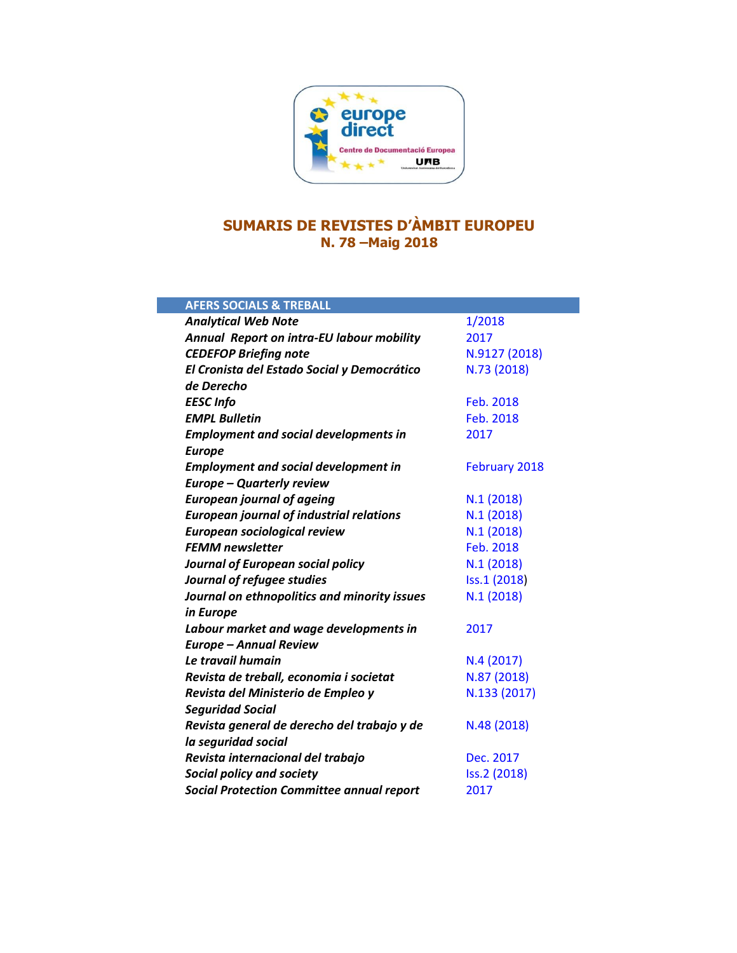

# **SUMARIS DE REVISTES D'ÀMBIT EUROPEU N. 78 –Maig 2018**

| <b>AFERS SOCIALS &amp; TREBALL</b>               |                      |
|--------------------------------------------------|----------------------|
| <b>Analytical Web Note</b>                       | 1/2018               |
| Annual Report on intra-EU labour mobility        | 2017                 |
| <b>CEDEFOP Briefing note</b>                     | N.9127 (2018)        |
| El Cronista del Estado Social y Democrático      | N.73 (2018)          |
| de Derecho                                       |                      |
| <b>EESC Info</b>                                 | Feb. 2018            |
| <b>EMPL Bulletin</b>                             | Feb. 2018            |
| <b>Employment and social developments in</b>     | 2017                 |
| <b>Europe</b>                                    |                      |
| <b>Employment and social development in</b>      | <b>February 2018</b> |
| <b>Europe - Quarterly review</b>                 |                      |
| <b>European journal of ageing</b>                | N.1(2018)            |
| <b>European journal of industrial relations</b>  | N.1(2018)            |
| European sociological review                     | N.1(2018)            |
| <b>FEMM newsletter</b>                           | Feb. 2018            |
| Journal of European social policy                | N.1(2018)            |
| Journal of refugee studies                       | Iss.1 (2018)         |
| Journal on ethnopolitics and minority issues     | N.1(2018)            |
| in Europe                                        |                      |
| Labour market and wage developments in           | 2017                 |
| <b>Europe - Annual Review</b>                    |                      |
| Le travail humain                                | N.4 (2017)           |
| Revista de treball, economia i societat          | N.87 (2018)          |
| Revista del Ministerio de Empleo y               | N.133 (2017)         |
| <b>Seguridad Social</b>                          |                      |
| Revista general de derecho del trabajo y de      | N.48 (2018)          |
| la seguridad social                              |                      |
| Revista internacional del trabajo                | Dec. 2017            |
| Social policy and society                        | Iss.2 (2018)         |
| <b>Social Protection Committee annual report</b> | 2017                 |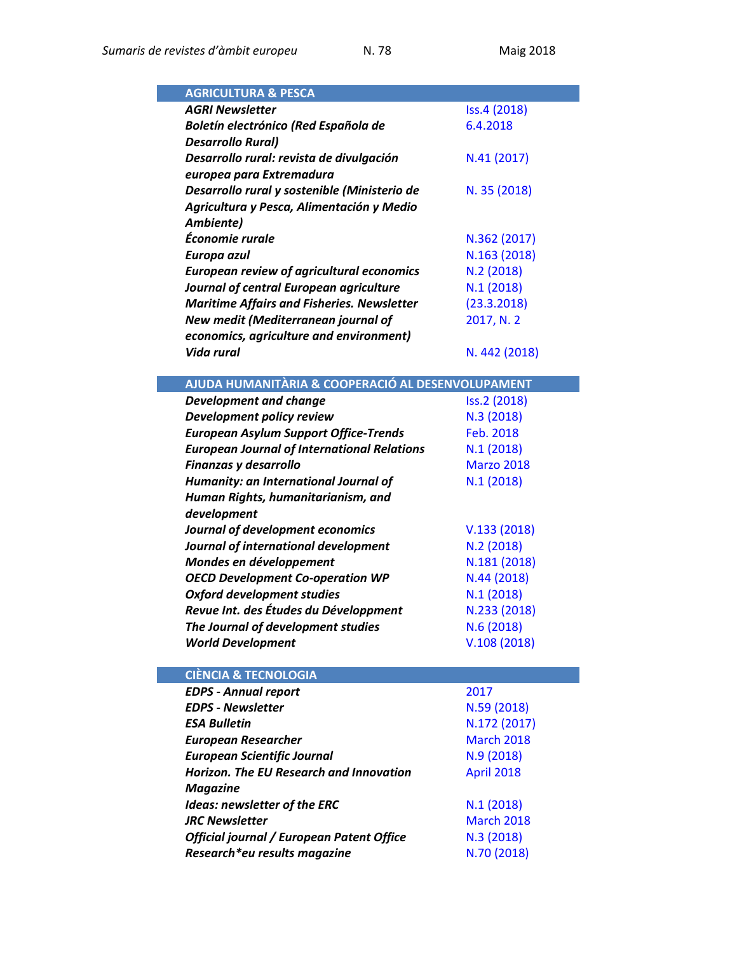| <b>AGRICULTURA &amp; PESCA</b>                          |                   |
|---------------------------------------------------------|-------------------|
| <b>AGRI Newsletter</b>                                  | Iss.4 (2018)      |
| Boletín electrónico (Red Española de                    | 6.4.2018          |
| <b>Desarrollo Rural)</b>                                |                   |
| Desarrollo rural: revista de divulgación                | N.41 (2017)       |
| europea para Extremadura                                |                   |
| Desarrollo rural y sostenible (Ministerio de            | N. 35 (2018)      |
| Agricultura y Pesca, Alimentación y Medio               |                   |
| Ambiente)                                               |                   |
| Économie rurale                                         | N.362 (2017)      |
| Europa azul                                             | N.163 (2018)      |
| <b>European review of agricultural economics</b>        | N.2 (2018)        |
| Journal of central European agriculture                 | N.1(2018)         |
| <b>Maritime Affairs and Fisheries. Newsletter</b>       | (23.3.2018)       |
| New medit (Mediterranean journal of                     | 2017, N. 2        |
| economics, agriculture and environment)                 |                   |
| Vida rural                                              | N. 442 (2018)     |
|                                                         |                   |
| AJUDA HUMANITÀRIA & COOPERACIÓ AL DESENVOLUPAMENT       |                   |
| <b>Development and change</b>                           | Iss.2 (2018)      |
| Development policy review                               | N.3 (2018)        |
| <b>European Asylum Support Office-Trends</b>            | Feb. 2018         |
| <b>European Journal of International Relations</b>      | N.1(2018)         |
| Finanzas y desarrollo                                   | <b>Marzo 2018</b> |
| Humanity: an International Journal of                   | N.1(2018)         |
| Human Rights, humanitarianism, and                      |                   |
| development                                             |                   |
| Journal of development economics                        | V.133(2018)       |
| Journal of international development                    | N.2 (2018)        |
| Mondes en développement                                 | N.181 (2018)      |
| <b>OECD Development Co-operation WP</b>                 | N.44 (2018)       |
| <b>Oxford development studies</b>                       | N.1(2018)         |
| Revue Int. des Études du Développment                   | N.233 (2018)      |
| The Journal of development studies                      | N.6(2018)         |
| <b>World Development</b>                                | V.108(2018)       |
|                                                         |                   |
| <b>CIÈNCIA &amp; TECNOLOGIA</b>                         |                   |
|                                                         |                   |
| <b>EDPS - Annual report</b><br><b>EDPS - Newsletter</b> | 2017              |
|                                                         | N.59 (2018)       |
| <b>ESA Bulletin</b>                                     | N.172 (2017)      |
| <b>European Researcher</b>                              | <b>March 2018</b> |
| <b>European Scientific Journal</b>                      | N.9(2018)         |
| <b>Horizon. The EU Research and Innovation</b>          | April 2018        |
| <b>Magazine</b>                                         |                   |
| Ideas: newsletter of the ERC                            | N.1(2018)         |
| <b>JRC Newsletter</b>                                   | <b>March 2018</b> |
| Official journal / European Patent Office               | N.3(2018)         |
| Research*eu results magazine                            | N.70 (2018)       |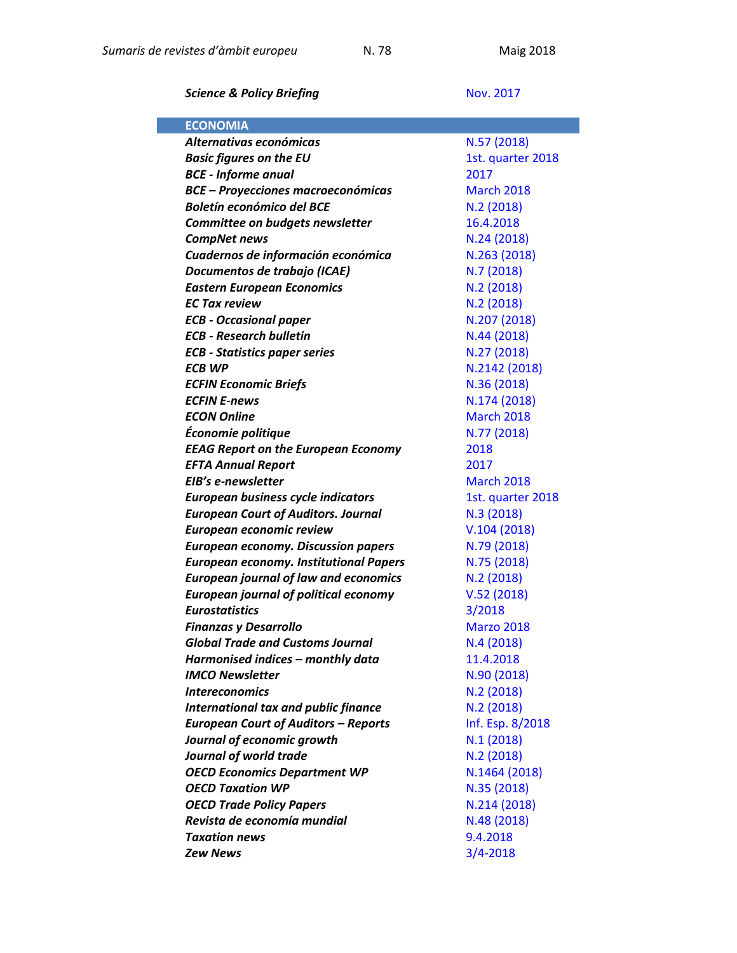**Science & Policy Briefing Nov. [2017](https://ec.europa.eu/jrc/en/publication/newsletters/science-policy-whats-eus-agenda-november-2017)** 

| <b>ECONOMIA</b>                               |                   |
|-----------------------------------------------|-------------------|
| Alternativas económicas                       | N.57 (2018)       |
| <b>Basic figures on the EU</b>                | 1st. quarter 2018 |
| <b>BCE - Informe anual</b>                    | 2017              |
| <b>BCE - Proyecciones macroeconómicas</b>     | <b>March 2018</b> |
| <b>Boletín económico del BCE</b>              | N.2(2018)         |
| Committee on budgets newsletter               | 16.4.2018         |
| <b>CompNet news</b>                           | N.24 (2018)       |
| Cuadernos de información económica            | N.263 (2018)      |
| Documentos de trabajo (ICAE)                  | N.7 (2018)        |
| <b>Eastern European Economics</b>             | N.2(2018)         |
| <b>EC Tax review</b>                          | N.2(2018)         |
| <b>ECB - Occasional paper</b>                 | N.207 (2018)      |
| <b>ECB - Research bulletin</b>                | N.44 (2018)       |
| <b>ECB - Statistics paper series</b>          | N.27 (2018)       |
| <b>ECB WP</b>                                 | N.2142 (2018)     |
| <b>ECFIN Economic Briefs</b>                  | N.36 (2018)       |
| <b>ECFIN E-news</b>                           | N.174 (2018)      |
| <b>ECON Online</b>                            | <b>March 2018</b> |
| Économie politique                            | N.77 (2018)       |
| <b>EEAG Report on the European Economy</b>    | 2018              |
| <b>EFTA Annual Report</b>                     | 2017              |
| EIB's e-newsletter                            | <b>March 2018</b> |
| European business cycle indicators            | 1st. quarter 2018 |
| <b>European Court of Auditors. Journal</b>    | N.3 (2018)        |
| European economic review                      | V.104(2018)       |
| <b>European economy. Discussion papers</b>    | N.79 (2018)       |
| <b>European economy. Institutional Papers</b> | N.75 (2018)       |
| <b>European journal of law and economics</b>  | N.2(2018)         |
| <b>European journal of political economy</b>  | V.52(2018)        |
| <b>Eurostatistics</b>                         | 3/2018            |
| <b>Finanzas y Desarrollo</b>                  | <b>Marzo 2018</b> |
| <b>Global Trade and Customs Journal</b>       | N.4(2018)         |
| Harmonised indices – monthly data             | 11.4.2018         |
| <b>IMCO Newsletter</b>                        | N.90 (2018)       |
| <b>Intereconomics</b>                         | N.2(2018)         |
| <b>International tax and public finance</b>   | N.2 (2018)        |
| <b>European Court of Auditors - Reports</b>   | Inf. Esp. 8/2018  |
| Journal of economic growth                    | N.1(2018)         |
| Journal of world trade                        | N.2(2018)         |
| <b>OECD Economics Department WP</b>           | N.1464 (2018)     |
| <b>OECD Taxation WP</b>                       | N.35 (2018)       |
| <b>OECD Trade Policy Papers</b>               | N.214 (2018)      |
| Revista de economía mundial                   | N.48 (2018)       |
| <b>Taxation news</b>                          | 9.4.2018          |
| <b>Zew News</b>                               | $3/4 - 2018$      |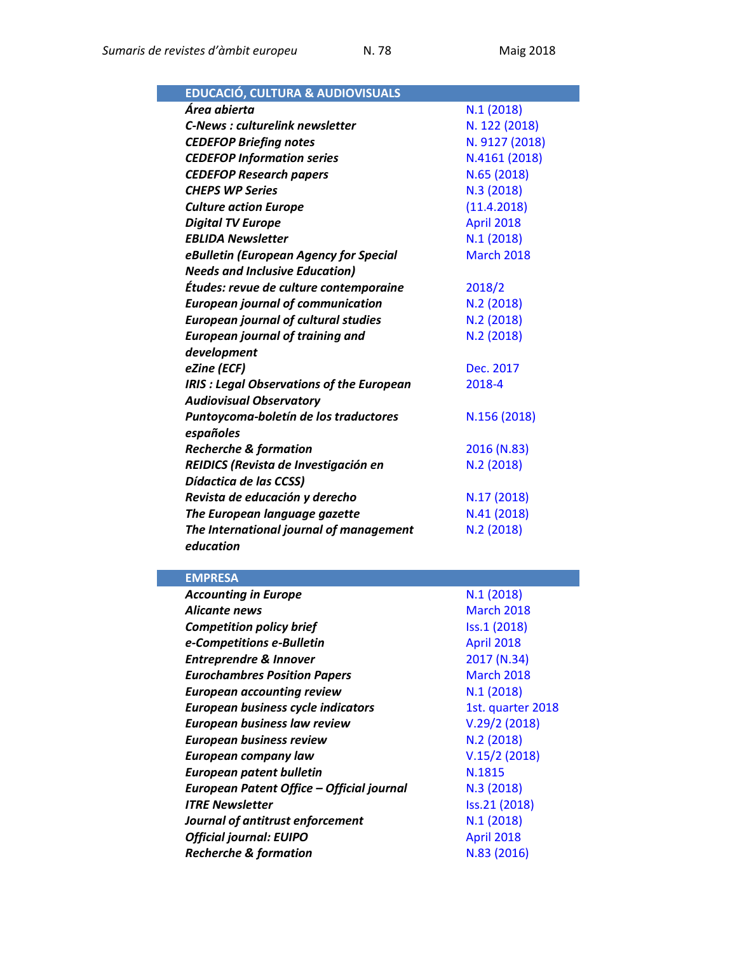| <b>EDUCACIÓ, CULTURA &amp; AUDIOVISUALS</b>     |                   |
|-------------------------------------------------|-------------------|
| Área abierta                                    | N.1(2018)         |
| <b>C-News: culturelink newsletter</b>           | N. 122 (2018)     |
| <b>CEDEFOP Briefing notes</b>                   | N. 9127 (2018)    |
| <b>CEDEFOP Information series</b>               | N.4161 (2018)     |
| <b>CEDEFOP Research papers</b>                  | N.65 (2018)       |
| <b>CHEPS WP Series</b>                          | N.3 (2018)        |
| <b>Culture action Europe</b>                    | (11.4.2018)       |
| <b>Digital TV Europe</b>                        | <b>April 2018</b> |
| <b>EBLIDA Newsletter</b>                        | N.1(2018)         |
| eBulletin (European Agency for Special          | <b>March 2018</b> |
| <b>Needs and Inclusive Education)</b>           |                   |
| Études: revue de culture contemporaine          | 2018/2            |
| <b>European journal of communication</b>        | N.2(2018)         |
| <b>European journal of cultural studies</b>     | N.2 (2018)        |
| <b>European journal of training and</b>         | N.2 (2018)        |
| development                                     |                   |
| eZine (ECF)                                     | Dec. 2017         |
| <b>IRIS: Legal Observations of the European</b> | 2018-4            |
| <b>Audiovisual Observatory</b>                  |                   |
| Puntoycoma-boletín de los traductores           | N.156 (2018)      |
| españoles                                       |                   |
| <b>Recherche &amp; formation</b>                | 2016 (N.83)       |
| REIDICS (Revista de Investigación en            | N.2 (2018)        |
| Dídactica de las CCSS)                          |                   |
| Revista de educación y derecho                  | N.17 (2018)       |
| The European language gazette                   | N.41 (2018)       |
| The International journal of management         | N.2 (2018)        |
| education                                       |                   |

## **EMPRESA**

| <b>Accounting in Europe</b>               | N.1(2018)         |
|-------------------------------------------|-------------------|
| <b>Alicante news</b>                      | <b>March 2018</b> |
| <b>Competition policy brief</b>           | Iss.1 (2018)      |
| e-Competitions e-Bulletin                 | <b>April 2018</b> |
| <b>Entreprendre &amp; Innover</b>         | 2017 (N.34)       |
| <b>Eurochambres Position Papers</b>       | <b>March 2018</b> |
| <b>European accounting review</b>         | N.1(2018)         |
| European business cycle indicators        | 1st. quarter 2018 |
| <b>European business law review</b>       | V.29/2(2018)      |
| <b>European business review</b>           | N.2 (2018)        |
| <b>European company law</b>               | V.15/2(2018)      |
| European patent bulletin                  | N.1815            |
| European Patent Office - Official journal | N.3 (2018)        |
| <b>ITRE Newsletter</b>                    | Iss.21 (2018)     |
| Journal of antitrust enforcement          | N.1(2018)         |
| <b>Official journal: EUIPO</b>            | <b>April 2018</b> |
| <b>Recherche &amp; formation</b>          | N.83 (2016)       |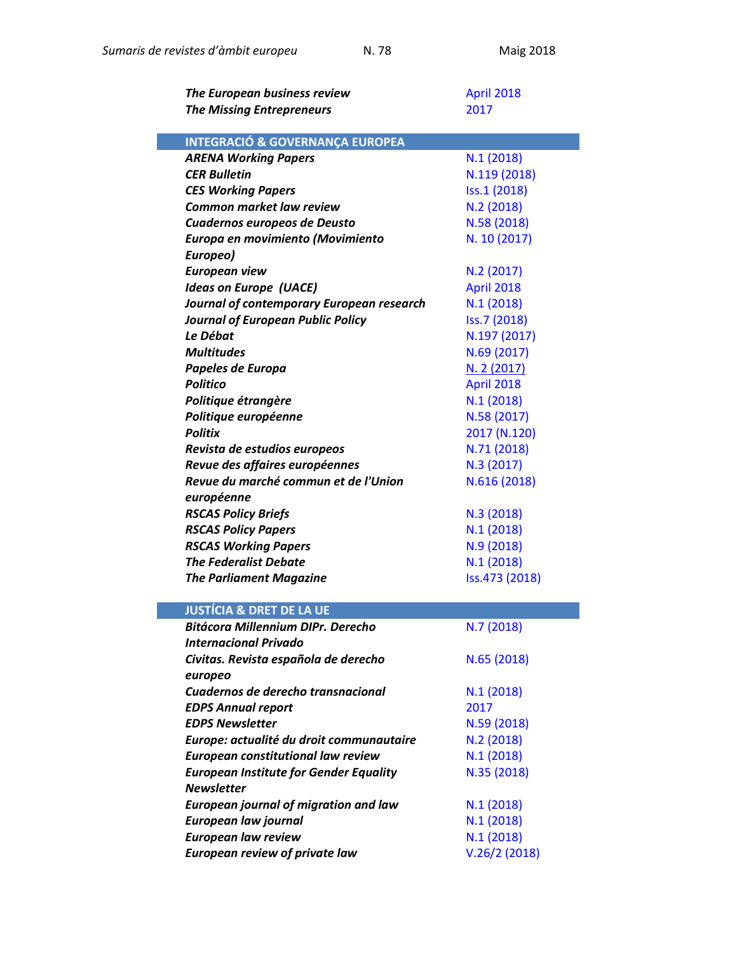| The European business review                  | <b>April 2018</b> |
|-----------------------------------------------|-------------------|
| <b>The Missing Entrepreneurs</b>              | 2017              |
|                                               |                   |
| <b>INTEGRACIÓ &amp; GOVERNANÇA EUROPEA</b>    |                   |
| <b>ARENA Working Papers</b>                   | N.1(2018)         |
| <b>CER Bulletin</b>                           | N.119 (2018)      |
| <b>CES Working Papers</b>                     | Iss.1 (2018)      |
| <b>Common market law review</b>               | N.2(2018)         |
| Cuadernos europeos de Deusto                  | N.58 (2018)       |
| Europa en movimiento (Movimiento              | N. 10 (2017)      |
| Europeo)                                      |                   |
| <b>European view</b>                          | N.2 (2017)        |
| <b>Ideas on Europe (UACE)</b>                 | <b>April 2018</b> |
| Journal of contemporary European research     | N.1(2018)         |
| <b>Journal of European Public Policy</b>      | Iss.7 (2018)      |
| Le Débat                                      | N.197 (2017)      |
| <b>Multitudes</b>                             | N.69 (2017)       |
| Papeles de Europa                             | N. 2 (2017)       |
| <b>Politico</b>                               | <b>April 2018</b> |
| Politique étrangère                           | N.1(2018)         |
| Politique européenne                          | N.58 (2017)       |
| <b>Politix</b>                                | 2017 (N.120)      |
| Revista de estudios europeos                  | N.71 (2018)       |
| Revue des affaires européennes                | N.3 (2017)        |
| Revue du marché commun et de l'Union          | N.616 (2018)      |
| européenne                                    |                   |
| <b>RSCAS Policy Briefs</b>                    | N.3 (2018)        |
| <b>RSCAS Policy Papers</b>                    | N.1(2018)         |
| <b>RSCAS Working Papers</b>                   | N.9(2018)         |
| <b>The Federalist Debate</b>                  | N.1(2018)         |
| <b>The Parliament Magazine</b>                | Iss.473 (2018)    |
|                                               |                   |
| <b>JUSTÍCIA &amp; DRET DE LA UE</b>           |                   |
| <b>Bitácora Millennium DIPr. Derecho</b>      | N.7 (2018)        |
| <b>Internacional Privado</b>                  |                   |
| Civitas. Revista española de derecho          | N.65 (2018)       |
| europeo                                       |                   |
| Cuadernos de derecho transnacional            | N.1(2018)         |
| <b>EDPS Annual report</b>                     | 2017              |
| <b>EDPS Newsletter</b>                        | N.59 (2018)       |
| Europe: actualité du droit communautaire      | N.2(2018)         |
| European constitutional law review            | N.1(2018)         |
| <b>European Institute for Gender Equality</b> | N.35 (2018)       |
| <b>Newsletter</b>                             |                   |
| <b>European journal of migration and law</b>  | N.1(2018)         |
| <b>European law journal</b>                   | N.1(2018)         |
| <b>European law review</b>                    | N.1(2018)         |
| <b>European review of private law</b>         | V.26/2(2018)      |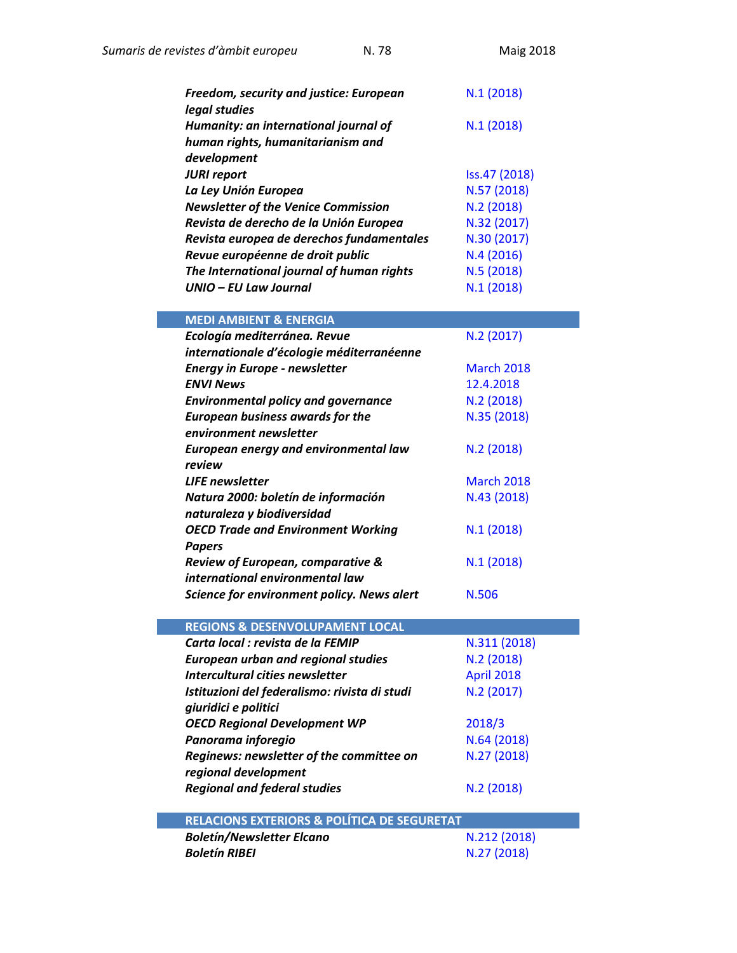| Freedom, security and justice: European<br>legal studies | N.1(2018)     |
|----------------------------------------------------------|---------------|
| Humanity: an international journal of                    | N.1(2018)     |
| human rights, humanitarianism and                        |               |
| development                                              |               |
| <b>JURI report</b>                                       | Iss.47 (2018) |
| La Ley Unión Europea                                     | N.57 (2018)   |
| <b>Newsletter of the Venice Commission</b>               | N.2(2018)     |
| Revista de derecho de la Unión Europea                   | N.32 (2017)   |
| Revista europea de derechos fundamentales                | N.30 (2017)   |
| Revue européenne de droit public                         | N.4(2016)     |
| The International journal of human rights                | N.5(2018)     |
| UNIO – EU Law Journal                                    | N.1(2018)     |

| <b>MEDI AMBIENT &amp; ENERGIA</b>          |                   |
|--------------------------------------------|-------------------|
| Ecología mediterránea. Revue               | N.2 (2017)        |
| internationale d'écologie méditerranéenne  |                   |
| <b>Energy in Europe - newsletter</b>       | <b>March 2018</b> |
| <b>ENVI News</b>                           | 12.4.2018         |
| <b>Environmental policy and governance</b> | N.2 (2018)        |
| <b>European business awards for the</b>    | N.35 (2018)       |
| environment newsletter                     |                   |
| European energy and environmental law      | N.2(2018)         |
| review                                     |                   |
| <b>LIFE</b> newsletter                     | <b>March 2018</b> |
| Natura 2000: boletín de información        | N.43 (2018)       |
| naturaleza y biodiversidad                 |                   |
| <b>OECD Trade and Environment Working</b>  | N.1(2018)         |
| Papers                                     |                   |
| Review of European, comparative &          | N.1(2018)         |
| international environmental law            |                   |
| Science for environment policy. News alert | N.506             |

|  | REGIONS & DESENVOLUPAMENT LOCAL |  |
|--|---------------------------------|--|
|  |                                 |  |

| Carta local : revista de la FEMIP             | N.311 (2018)      |
|-----------------------------------------------|-------------------|
| <b>European urban and regional studies</b>    | N.2 (2018)        |
| Intercultural cities newsletter               | <b>April 2018</b> |
| Istituzioni del federalismo: rivista di studi | N.2 (2017)        |
| giuridici e politici                          |                   |
| <b>OECD Regional Development WP</b>           | 2018/3            |
| Panorama inforegio                            | N.64 (2018)       |
| Reginews: newsletter of the committee on      | N.27 (2018)       |
| regional development                          |                   |
| <b>Regional and federal studies</b>           | N.2(2018)         |
|                                               |                   |

| RELACIONS EXTERIORS & POLÍTICA DE SEGURETAT. |              |
|----------------------------------------------|--------------|
| <b>Boletín/Newsletter Elcano</b>             | N.212 (2018) |
| <b>Boletín RIBEI</b>                         | N.27 (2018)  |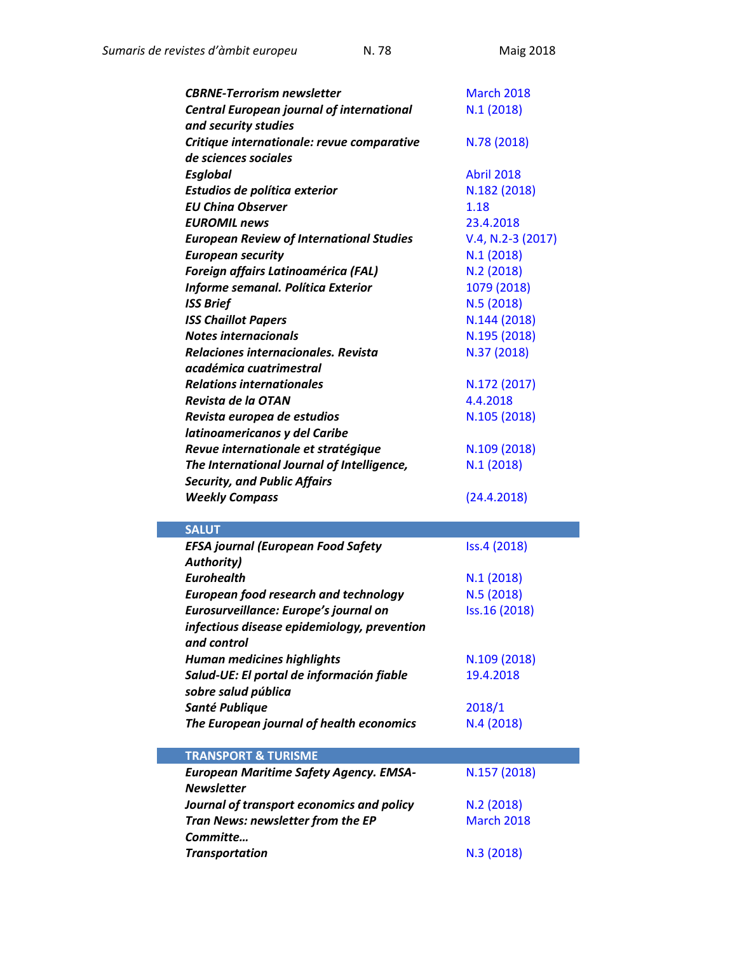| <b>CBRNE-Terrorism newsletter</b>                | <b>March 2018</b>   |
|--------------------------------------------------|---------------------|
| <b>Central European journal of international</b> | N.1(2018)           |
| and security studies                             |                     |
| Critique internationale: revue comparative       | N.78 (2018)         |
| de sciences sociales                             |                     |
| <b>Esglobal</b>                                  | <b>Abril 2018</b>   |
| Estudios de política exterior                    | N.182 (2018)        |
| <b>EU China Observer</b>                         | 1.18                |
| <b>EUROMIL news</b>                              | 23.4.2018           |
| <b>European Review of International Studies</b>  | $V.4, N.2-3 (2017)$ |
| <b>European security</b>                         | N.1(2018)           |
| Foreign affairs Latinoamérica (FAL)              | N.2(2018)           |
| Informe semanal. Política Exterior               | 1079 (2018)         |
| <b>ISS Brief</b>                                 | N.5 (2018)          |
| <b>ISS Chaillot Papers</b>                       | N.144 (2018)        |
| <b>Notes internacionals</b>                      | N.195 (2018)        |
| Relaciones internacionales. Revista              | N.37 (2018)         |
| académica cuatrimestral                          |                     |
| <b>Relations internationales</b>                 | N.172 (2017)        |
| Revista de la OTAN                               | 4.4.2018            |
| Revista europea de estudios                      | N.105 (2018)        |
| latinoamericanos y del Caribe                    |                     |
| Revue internationale et stratégique              | N.109 (2018)        |
| The International Journal of Intelligence,       | N.1(2018)           |
| <b>Security, and Public Affairs</b>              |                     |
|                                                  | (24.4.2018)         |
| <b>Weekly Compass</b>                            |                     |
|                                                  |                     |
| <b>SALUT</b>                                     |                     |
| <b>EFSA journal (European Food Safety</b>        | Iss.4 (2018)        |
| <b>Authority)</b>                                |                     |
| <b>Eurohealth</b>                                | N.1(2018)           |
| <b>European food research and technology</b>     | N.5(2018)           |
| Eurosurveillance: Europe's journal on            | Iss.16 (2018)       |
| infectious disease epidemiology, prevention      |                     |
| and control                                      |                     |
| <b>Human medicines highlights</b>                | N.109 (2018)        |
| Salud-UE: El portal de información fiable        | 19.4.2018           |
| sobre salud pública                              |                     |
| Santé Publique                                   | 2018/1              |
| The European journal of health economics         | N.4(2018)           |
| <b>TRANSPORT &amp; TURISME</b>                   |                     |
| <b>European Maritime Safety Agency. EMSA-</b>    | N.157 (2018)        |
| <b>Newsletter</b>                                |                     |
| Journal of transport economics and policy        | N.2(2018)           |
| Tran News: newsletter from the EP                | <b>March 2018</b>   |
| Committe                                         |                     |